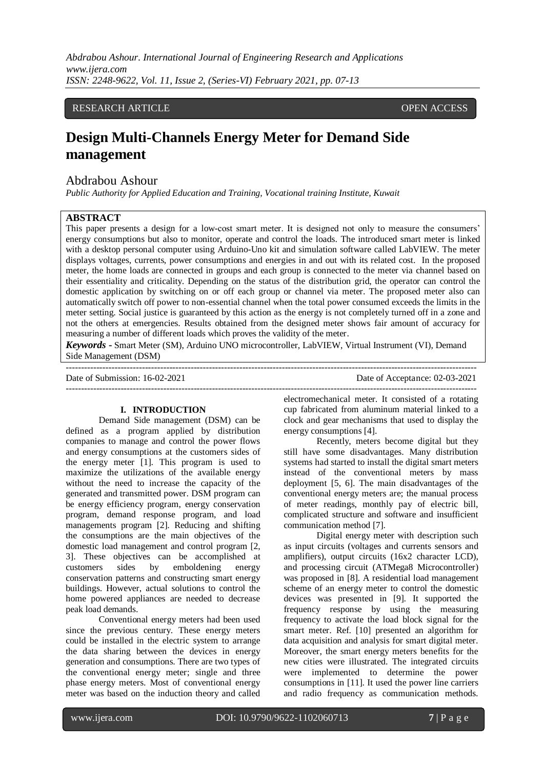*Abdrabou Ashour. International Journal of Engineering Research and Applications www.ijera.com ISSN: 2248-9622, Vol. 11, Issue 2, (Series-VI) February 2021, pp. 07-13*

## RESEARCH ARTICLE **CONSERVERS** OPEN ACCESS

# **Design Multi-Channels Energy Meter for Demand Side management**

## Abdrabou Ashour

*Public Authority for Applied Education and Training, Vocational training Institute, Kuwait*

## **ABSTRACT**

This paper presents a design for a low-cost smart meter. It is designed not only to measure the consumers' energy consumptions but also to monitor, operate and control the loads. The introduced smart meter is linked with a desktop personal computer using Arduino-Uno kit and simulation software called LabVIEW. The meter displays voltages, currents, power consumptions and energies in and out with its related cost. In the proposed meter, the home loads are connected in groups and each group is connected to the meter via channel based on their essentiality and criticality. Depending on the status of the distribution grid, the operator can control the domestic application by switching on or off each group or channel via meter. The proposed meter also can automatically switch off power to non-essential channel when the total power consumed exceeds the limits in the meter setting. Social justice is guaranteed by this action as the energy is not completely turned off in a zone and not the others at emergencies. Results obtained from the designed meter shows fair amount of accuracy for measuring a number of different loads which proves the validity of the meter.

*Keywords* **-** Smart Meter (SM), Arduino UNO microcontroller, LabVIEW, Virtual Instrument (VI), Demand Side Management (DSM)

--------------------------------------------------------------------------------------------------------------------------------------- Date of Submission: 16-02-2021 Date of Acceptance: 02-03-2021  $-1-\frac{1}{2}$ 

#### **I. INTRODUCTION**

Demand Side management (DSM) can be defined as a program applied by distribution companies to manage and control the power flows and energy consumptions at the customers sides of the energy meter [1]. This program is used to maximize the utilizations of the available energy without the need to increase the capacity of the generated and transmitted power. DSM program can be energy efficiency program, energy conservation program, demand response program, and load managements program [2]. Reducing and shifting the consumptions are the main objectives of the domestic load management and control program [2, 3]. These objectives can be accomplished at customers sides by emboldening energy conservation patterns and constructing smart energy buildings. However, actual solutions to control the home powered appliances are needed to decrease peak load demands.

Conventional energy meters had been used since the previous century. These energy meters could be installed in the electric system to arrange the data sharing between the devices in energy generation and consumptions. There are two types of the conventional energy meter; single and three phase energy meters. Most of conventional energy meter was based on the induction theory and called

electromechanical meter. It consisted of a rotating cup fabricated from aluminum material linked to a clock and gear mechanisms that used to display the energy consumptions [4].

Recently, meters become digital but they still have some disadvantages. Many distribution systems had started to install the digital smart meters instead of the conventional meters by mass deployment [5, 6]. The main disadvantages of the conventional energy meters are; the manual process of meter readings, monthly pay of electric bill, complicated structure and software and insufficient communication method [7].

Digital energy meter with description such as input circuits (voltages and currents sensors and amplifiers), output circuits (16x2 character LCD), and processing circuit (ATMega8 Microcontroller) was proposed in [8]. A residential load management scheme of an energy meter to control the domestic devices was presented in [9]. It supported the frequency response by using the measuring frequency to activate the load block signal for the smart meter. Ref. [10] presented an algorithm for data acquisition and analysis for smart digital meter. Moreover, the smart energy meters benefits for the new cities were illustrated. The integrated circuits were implemented to determine the power consumptions in [11]. It used the power line carriers and radio frequency as communication methods.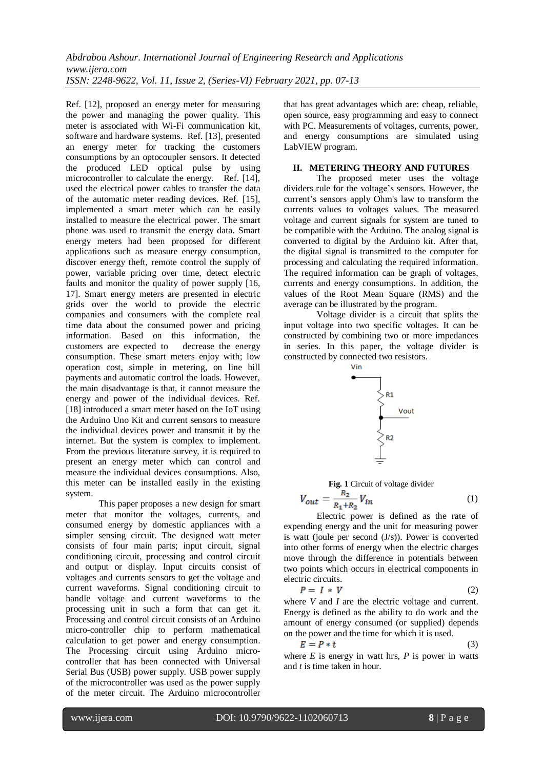Ref. [12], proposed an energy meter for measuring the power and managing the power quality. This meter is associated with Wi-Fi communication kit, software and hardware systems. Ref. [13], presented an energy meter for tracking the customers consumptions by an optocoupler sensors. It detected the produced LED optical pulse by using microcontroller to calculate the energy. Ref. [14], used the electrical power cables to transfer the data of the automatic meter reading devices. Ref. [15], implemented a smart meter which can be easily installed to measure the electrical power. The smart phone was used to transmit the energy data. Smart energy meters had been proposed for different applications such as measure energy consumption, discover energy theft, remote control the supply of power, variable pricing over time, detect electric faults and monitor the quality of power supply [16, 17]. Smart energy meters are presented in electric grids over the world to provide the electric companies and consumers with the complete real time data about the consumed power and pricing information. Based on this information, the customers are expected to decrease the energy consumption. These smart meters enjoy with; low operation cost, simple in metering, on line bill payments and automatic control the loads. However, the main disadvantage is that, it cannot measure the energy and power of the individual devices. Ref. [18] introduced a smart meter based on the IoT using the Arduino Uno Kit and current sensors to measure the individual devices power and transmit it by the internet. But the system is complex to implement. From the previous literature survey, it is required to present an energy meter which can control and measure the individual devices consumptions. Also, this meter can be installed easily in the existing system.

This paper proposes a new design for smart meter that monitor the voltages, currents, and consumed energy by domestic appliances with a simpler sensing circuit. The designed watt meter consists of four main parts; input circuit, signal conditioning circuit, processing and control circuit and output or display. Input circuits consist of voltages and currents sensors to get the voltage and current waveforms. Signal conditioning circuit to handle voltage and current waveforms to the processing unit in such a form that can get it. Processing and control circuit consists of an Arduino micro-controller chip to perform mathematical calculation to get power and energy consumption. The Processing circuit using Arduino microcontroller that has been connected with Universal Serial Bus (USB) power supply. USB power supply of the microcontroller was used as the power supply of the meter circuit. The Arduino microcontroller

that has great advantages which are: cheap, reliable, open source, easy programming and easy to connect with PC. Measurements of voltages, currents, power, and energy consumptions are simulated using LabVIEW program.

## **II. METERING THEORY AND FUTURES**

The proposed meter uses the voltage dividers rule for the voltage's sensors. However, the current's sensors apply Ohm's law to transform the currents values to voltages values. The measured voltage and current signals for system are tuned to be compatible with the Arduino. The analog signal is converted to digital by the Arduino kit. After that, the digital signal is transmitted to the computer for processing and calculating the required information. The required information can be graph of voltages, currents and energy consumptions. In addition, the values of the Root Mean Square (RMS) and the average can be illustrated by the program.

Voltage divider is a circuit that splits the input voltage into two specific voltages. It can be constructed by combining two or more impedances in series. In this paper, the voltage divider is constructed by connected two resistors.



**Fig. 1** Circuit of voltage divider

$$
V_{out} = \frac{R_2}{R_1 + R_2} V_{in}
$$
 (1)

Electric power is defined as the rate of expending energy and the unit for measuring power is watt (joule per second (J/s)). Power is converted into other forms of energy when the electric charges move through the difference in potentials between two points which occurs in electrical components in electric circuits.

$$
P = I * V \tag{2}
$$

where *V* and *I* are the electric voltage and current. Energy is defined as the ability to do work and the amount of energy consumed (or supplied) depends on the power and the time for which it is used.

$$
E = P * t \tag{3}
$$

where  $E$  is energy in watt hrs,  $P$  is power in watts and *t* is time taken in hour.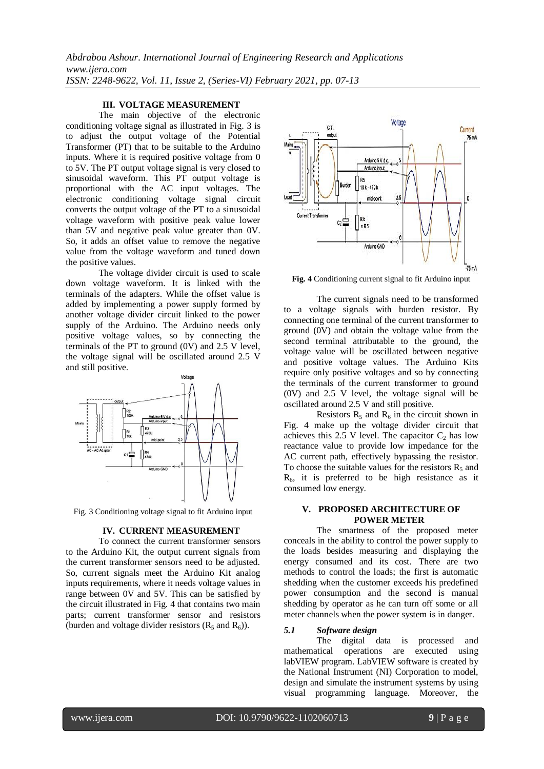#### **III. VOLTAGE MEASUREMENT**

The main objective of the electronic conditioning voltage signal as illustrated in Fig. 3 is to adjust the output voltage of the Potential Transformer (PT) that to be suitable to the Arduino inputs. Where it is required positive voltage from 0 to 5V. The PT output voltage signal is very closed to sinusoidal waveform. This PT output voltage is proportional with the AC input voltages. The electronic conditioning voltage signal circuit converts the output voltage of the PT to a sinusoidal voltage waveform with positive peak value lower than 5V and negative peak value greater than 0V. So, it adds an offset value to remove the negative value from the voltage waveform and tuned down the positive values.

The voltage divider circuit is used to scale down voltage waveform. It is linked with the terminals of the adapters. While the offset value is added by implementing a power supply formed by another voltage divider circuit linked to the power supply of the Arduino. The Arduino needs only positive voltage values, so by connecting the terminals of the PT to ground (0V) and 2.5 V level, the voltage signal will be oscillated around 2.5 V and still positive.



Fig. 3 Conditioning voltage signal to fit Arduino input

#### **IV. CURRENT MEASUREMENT**

To connect the current transformer sensors to the Arduino Kit, the output current signals from the current transformer sensors need to be adjusted. So, current signals meet the Arduino Kit analog inputs requirements, where it needs voltage values in range between 0V and 5V. This can be satisfied by the circuit illustrated in Fig. 4 that contains two main parts; current transformer sensor and resistors (burden and voltage divider resistors  $(R_5 \text{ and } R_6)$ ).



**Fig. 4** Conditioning current signal to fit Arduino input

The current signals need to be transformed to a voltage signals with burden resistor. By connecting one terminal of the current transformer to ground (0V) and obtain the voltage value from the second terminal attributable to the ground, the voltage value will be oscillated between negative and positive voltage values. The Arduino Kits require only positive voltages and so by connecting the terminals of the current transformer to ground (0V) and 2.5 V level, the voltage signal will be oscillated around 2.5 V and still positive.

Resistors  $R_5$  and  $R_6$  in the circuit shown in Fig. 4 make up the voltage divider circuit that achieves this  $2.5$  V level. The capacitor  $C_2$  has low reactance value to provide low impedance for the AC current path, effectively bypassing the resistor. To choose the suitable values for the resistors  $R_5$  and  $R<sub>6</sub>$ , it is preferred to be high resistance as it consumed low energy.

## **V. PROPOSED ARCHITECTURE OF POWER METER**

The smartness of the proposed meter conceals in the ability to control the power supply to the loads besides measuring and displaying the energy consumed and its cost. There are two methods to control the loads; the first is automatic shedding when the customer exceeds his predefined power consumption and the second is manual shedding by operator as he can turn off some or all meter channels when the power system is in danger.

#### *5.1 Software design*

The digital data is processed and mathematical operations are executed using labVIEW program. LabVIEW software is created by the National Instrument (NI) Corporation to model, design and simulate the instrument systems by using visual programming language. Moreover, the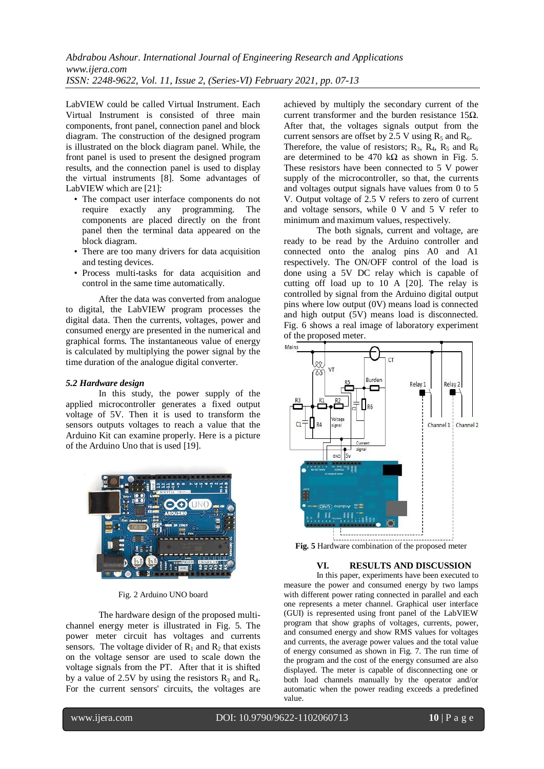LabVIEW could be called Virtual Instrument. Each Virtual Instrument is consisted of three main components, front panel, connection panel and block diagram. The construction of the designed program is illustrated on the block diagram panel. While, the front panel is used to present the designed program results, and the connection panel is used to display the virtual instruments [8]. Some advantages of LabVIEW which are [21]:

- The compact user interface components do not require exactly any programming. The components are placed directly on the front panel then the terminal data appeared on the block diagram.
- There are too many drivers for data acquisition and testing devices.
- Process multi-tasks for data acquisition and control in the same time automatically.

After the data was converted from analogue to digital, the LabVIEW program processes the digital data. Then the currents, voltages, power and consumed energy are presented in the numerical and graphical forms. The instantaneous value of energy is calculated by multiplying the power signal by the time duration of the analogue digital converter.

### *5.2 Hardware design*

In this study, the power supply of the applied microcontroller generates a fixed output voltage of 5V. Then it is used to transform the sensors outputs voltages to reach a value that the Arduino Kit can examine properly. Here is a picture of the Arduino Uno that is used [19].



Fig. 2 Arduino UNO board

The hardware design of the proposed multichannel energy meter is illustrated in Fig. 5. The power meter circuit has voltages and currents sensors. The voltage divider of  $R_1$  and  $R_2$  that exists on the voltage sensor are used to scale down the voltage signals from the PT. After that it is shifted by a value of 2.5V by using the resistors  $R_3$  and  $R_4$ . For the current sensors' circuits, the voltages are

achieved by multiply the secondary current of the current transformer and the burden resistance 15 $\Omega$ . After that, the voltages signals output from the current sensors are offset by  $2.5$  V using  $R_5$  and  $R_6$ .

Therefore, the value of resistors;  $R_3$ ,  $R_4$ ,  $R_5$  and  $R_6$ are determined to be 470 k $\Omega$  as shown in Fig. 5. These resistors have been connected to 5 V power supply of the microcontroller, so that, the currents and voltages output signals have values from 0 to 5 V. Output voltage of 2.5 V refers to zero of current and voltage sensors, while 0 V and 5 V refer to minimum and maximum values, respectively.

The both signals, current and voltage, are ready to be read by the Arduino controller and connected onto the analog pins A0 and A1 respectively. The ON/OFF control of the load is done using a 5V DC relay which is capable of cutting off load up to 10 A [20]. The relay is controlled by signal from the Arduino digital output pins where low output (0V) means load is connected and high output (5V) means load is disconnected. Fig. 6 shows a real image of laboratory experiment of the proposed meter.



**Fig. 5** Hardware combination of the proposed meter

#### **VI. RESULTS AND DISCUSSION**

In this paper, experiments have been executed to measure the power and consumed energy by two lamps with different power rating connected in parallel and each one represents a meter channel. Graphical user interface (GUI) is represented using front panel of the LabVIEW program that show graphs of voltages, currents, power, and consumed energy and show RMS values for voltages and currents, the average power values and the total value of energy consumed as shown in Fig. 7. The run time of the program and the cost of the energy consumed are also displayed. The meter is capable of disconnecting one or both load channels manually by the operator and/or automatic when the power reading exceeds a predefined value.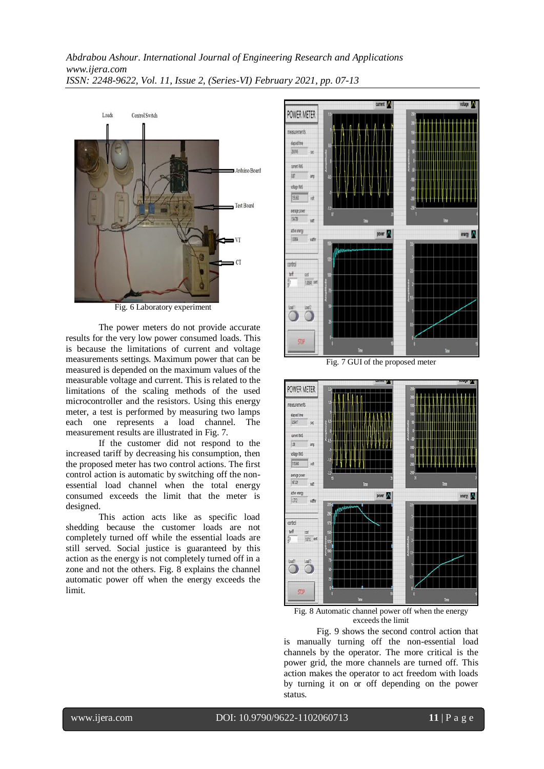*Abdrabou Ashour. International Journal of Engineering Research and Applications www.ijera.com ISSN: 2248-9622, Vol. 11, Issue 2, (Series-VI) February 2021, pp. 07-13*



Fig. 6 Laboratory experiment

The power meters do not provide accurate results for the very low power consumed loads. This is because the limitations of current and voltage measurements settings. Maximum power that can be measured is depended on the maximum values of the measurable voltage and current. This is related to the limitations of the scaling methods of the used microcontroller and the resistors. Using this energy meter, a test is performed by measuring two lamps each one represents a load channel. The measurement results are illustrated in Fig. 7.

If the customer did not respond to the increased tariff by decreasing his consumption, then the proposed meter has two control actions. The first control action is automatic by switching off the nonessential load channel when the total energy consumed exceeds the limit that the meter is designed.

This action acts like as specific load shedding because the customer loads are not completely turned off while the essential loads are still served. Social justice is guaranteed by this action as the energy is not completely turned off in a zone and not the others. Fig. 8 explains the channel automatic power off when the energy exceeds the limit.



Fig. 7 GUI of the proposed meter



Fig. 8 Automatic channel power off when the energy exceeds the limit

Fig. 9 shows the second control action that is manually turning off the non-essential load channels by the operator. The more critical is the power grid, the more channels are turned off. This action makes the operator to act freedom with loads by turning it on or off depending on the power status.

www.ijera.com DOI: 10.9790/9622-1102060713 **11** | P a g e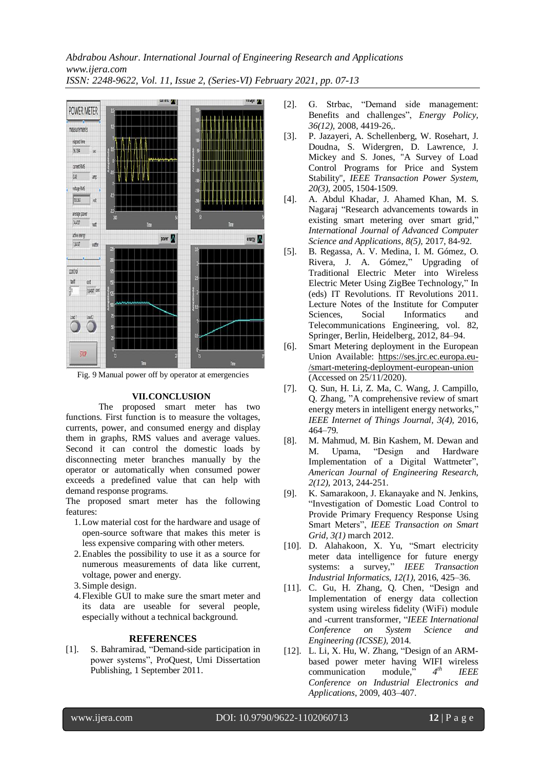*Abdrabou Ashour. International Journal of Engineering Research and Applications www.ijera.com ISSN: 2248-9622, Vol. 11, Issue 2, (Series-VI) February 2021, pp. 07-13*



Fig. 9 Manual power off by operator at emergencies

## **VII.CONCLUSION**

The proposed smart meter has two functions. First function is to measure the voltages, currents, power, and consumed energy and display them in graphs, RMS values and average values. Second it can control the domestic loads by disconnecting meter branches manually by the operator or automatically when consumed power exceeds a predefined value that can help with demand response programs.

The proposed smart meter has the following features:

- 1.Low material cost for the hardware and usage of open-source software that makes this meter is less expensive comparing with other meters.
- 2.Enables the possibility to use it as a source for numerous measurements of data like current, voltage, power and energy.
- 3.Simple design.
- 4.Flexible GUI to make sure the smart meter and its data are useable for several people, especially without a technical background.

#### **REFERENCES**

[1]. S. Bahramirad, "Demand-side participation in power systems", ProQuest, Umi Dissertation Publishing, 1 September 2011.

- [2]. G. Strbac, "Demand side management: Benefits and challenges", *Energy Policy, 36(12),* 2008, 4419-26,.
- [3]. P. Jazayeri, A. Schellenberg, W. Rosehart, J. Doudna, S. Widergren, D. Lawrence, J. Mickey and S. Jones, "A Survey of Load Control Programs for Price and System Stability", *IEEE Transaction Power System, 20(3),* 2005, 1504-1509.
- [4]. A. Abdul Khadar, J. Ahamed Khan, M. S. Nagaraj "Research advancements towards in existing smart metering over smart grid," *International Journal of Advanced Computer Science and Applications, 8(5),* 2017, 84-92.
- [5]. B. Regassa, A. V. Medina, I. M. Gómez, O. Rivera, J. A. Gómez," Upgrading of Traditional Electric Meter into Wireless Electric Meter Using ZigBee Technology," In (eds) IT Revolutions. IT Revolutions 2011. Lecture Notes of the Institute for Computer Sciences, Social Informatics and Telecommunications Engineering, vol. 82, Springer, Berlin, Heidelberg, 2012, 84–94.
- [6]. Smart Metering deployment in the European Union Available: [https://ses.jrc.ec.europa.eu-](https://ses.jrc.ec.europa.eu-/smart-metering-deployment-european-union) [/smart-metering-deployment-european-union](https://ses.jrc.ec.europa.eu-/smart-metering-deployment-european-union) (Accessed on 25/11/2020).
- [7]. Q. Sun, H. Li, Z. Ma, C. Wang, J. Campillo, Q. Zhang, "A comprehensive review of smart energy meters in intelligent energy networks," *IEEE Internet of Things Journal, 3(4),* 2016, 464–79.
- [8]. M. Mahmud, M. Bin Kashem, M. Dewan and M. Upama, "Design and Hardware Implementation of a Digital Wattmeter", *American Journal of Engineering Research, 2(12),* 2013, 244-251.
- [9]. K. Samarakoon, J. Ekanayake and N. Jenkins, "Investigation of Domestic Load Control to Provide Primary Frequency Response Using Smart Meters", *IEEE Transaction on Smart Grid, 3(1)* march 2012.
- [10]. D. Alahakoon, X. Yu, "Smart electricity meter data intelligence for future energy systems: a survey," *IEEE Transaction Industrial Informatics, 12(1),* 2016, 425–36.
- [11]. C. Gu, H. Zhang, Q. Chen, "Design and Implementation of energy data collection system using wireless fidelity (WiFi) module and -current transformer, "*IEEE International Conference on System Science and Engineering (ICSSE),* 2014.
- [12]. L. Li, X. Hu, W. Zhang, "Design of an ARMbased power meter having WIFI wireless communication module," *4 th IEEE Conference on Industrial Electronics and Applications*, 2009, 403–407.